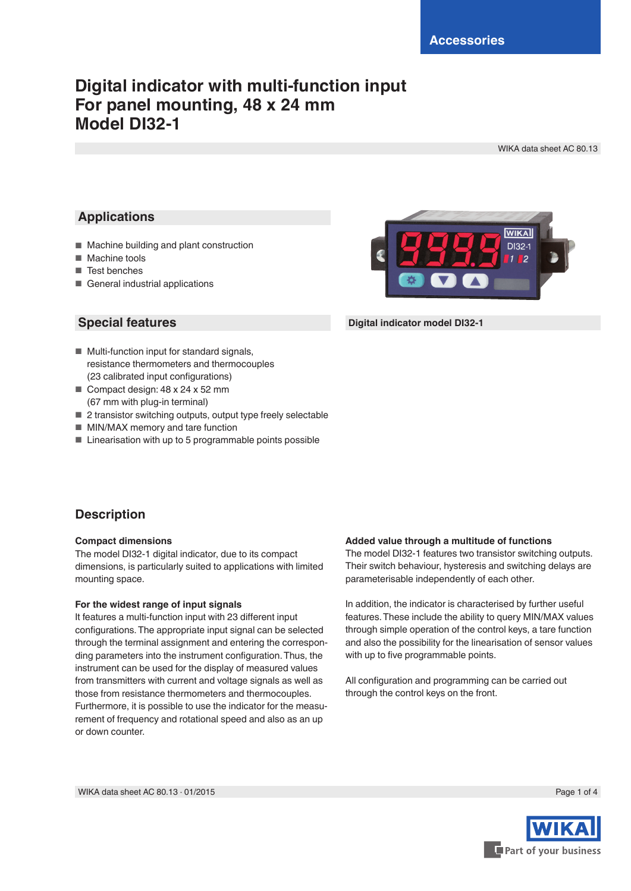## **Digital indicator with multi-function input For panel mounting, 48 x 24 mm Model DI32-1**

WIKA data sheet AC 80.13

## **Applications**

- Machine building and plant construction
- Machine tools
- Test benches
- General industrial applications

## **Special features**

- Multi-function input for standard signals, resistance thermometers and thermocouples (23 calibrated input configurations)
- Compact design: 48 x 24 x 52 mm (67 mm with plug-in terminal)
- 2 transistor switching outputs, output type freely selectable
- MIN/MAX memory and tare function
- Linearisation with up to 5 programmable points possible



#### **Digital indicator model DI32-1**

## **Description**

#### **Compact dimensions**

The model DI32-1 digital indicator, due to its compact dimensions, is particularly suited to applications with limited mounting space.

#### **For the widest range of input signals**

It features a multi-function input with 23 different input configurations. The appropriate input signal can be selected through the terminal assignment and entering the corresponding parameters into the instrument configuration. Thus, the instrument can be used for the display of measured values from transmitters with current and voltage signals as well as those from resistance thermometers and thermocouples. Furthermore, it is possible to use the indicator for the measurement of frequency and rotational speed and also as an up or down counter.

#### **Added value through a multitude of functions**

The model DI32-1 features two transistor switching outputs. Their switch behaviour, hysteresis and switching delays are parameterisable independently of each other.

In addition, the indicator is characterised by further useful features. These include the ability to query MIN/MAX values through simple operation of the control keys, a tare function and also the possibility for the linearisation of sensor values with up to five programmable points.

All configuration and programming can be carried out through the control keys on the front.

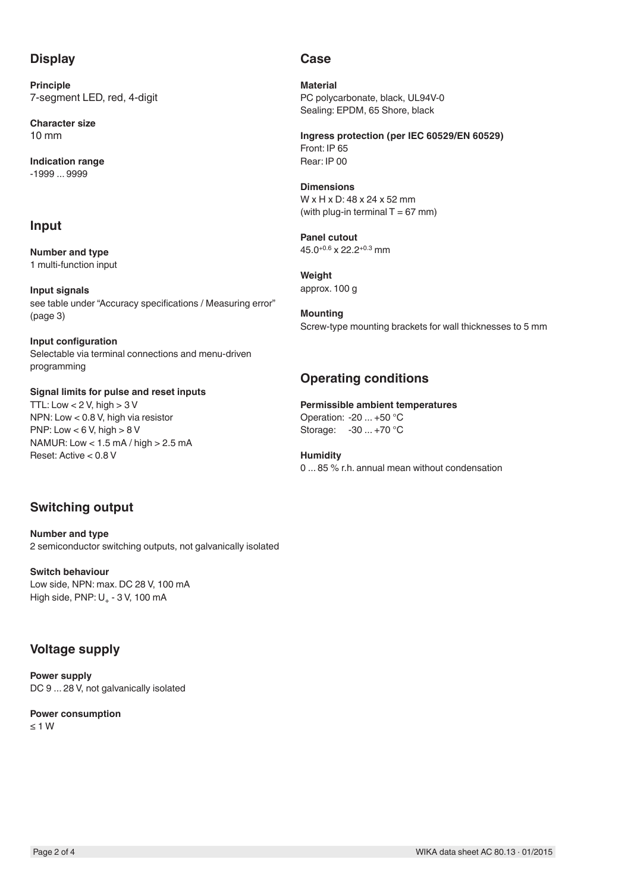## **Display**

**Principle** 7-segment LED, red, 4-digit

**Character size** 10 mm

**Indication range** -1999 ... 9999

## **Input**

**Number and type** 1 multi-function input

**Input signals** see table under "Accuracy specifications / Measuring error" (page 3)

**Input configuration** Selectable via terminal connections and menu-driven programming

**Signal limits for pulse and reset inputs** TTL: Low  $< 2$  V, high  $> 3$  V NPN: Low < 0.8 V, high via resistor PNP: Low  $< 6$  V, high  $> 8$  V NAMUR: Low < 1.5 mA / high > 2.5 mA Reset: Active < 0.8 V

## **Switching output**

**Number and type** 2 semiconductor switching outputs, not galvanically isolated

**Switch behaviour** Low side, NPN: max. DC 28 V, 100 mA High side,  $PNP: U_+ - 3 V$ , 100 mA

## **Voltage supply**

**Power supply** DC 9 ... 28 V, not galvanically isolated

**Power consumption** ≤ 1 W

## **Case**

**Material** PC polycarbonate, black, UL94V-0 Sealing: EPDM, 65 Shore, black

**Ingress protection (per IEC 60529/EN 60529)** Front: IP 65 Rear: IP 00

#### **Dimensions** W x H x D: 48 x 24 x 52 mm (with plug-in terminal  $T = 67$  mm)

**Panel cutout** 45.0+0.6 x 22.2+0.3 mm

**Weight** approx. 100 g

**Mounting** Screw-type mounting brackets for wall thicknesses to 5 mm

## **Operating conditions**

### **Permissible ambient temperatures**

Operation: -20 ... +50 °C Storage: -30 ... +70 °C

**Humidity** 0 ... 85 % r.h. annual mean without condensation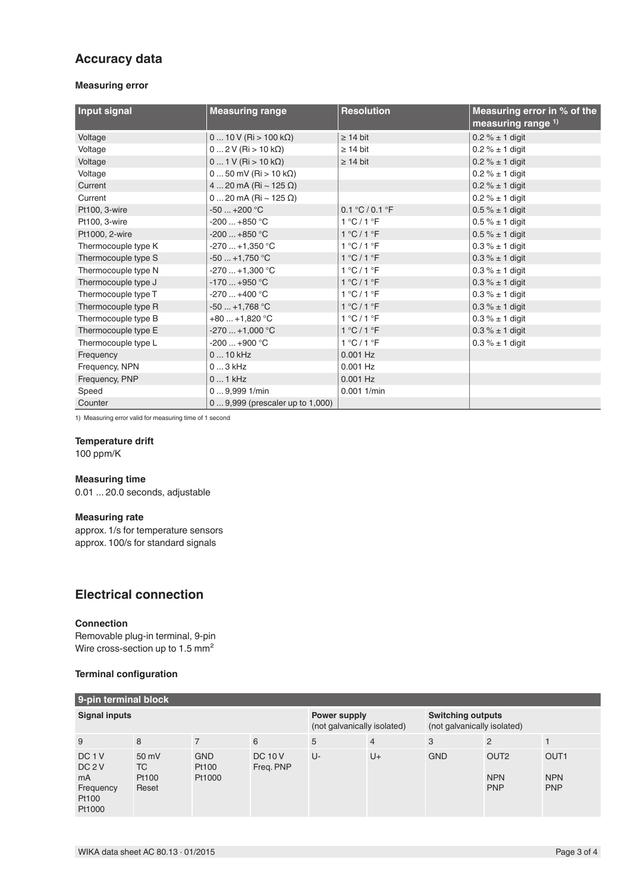## **Accuracy data**

#### **Measuring error**

| Input signal        | <b>Measuring range</b>           | <b>Resolution</b>             | Measuring error in % of the<br>measuring range $1$ ) |
|---------------------|----------------------------------|-------------------------------|------------------------------------------------------|
| Voltage             | $010V$ (Ri > 100 kΩ)             | $\geq 14$ bit                 | $0.2 \% \pm 1$ digit                                 |
| Voltage             | $02V$ (Ri > 10 kΩ)               | $\geq 14$ bit                 | $0.2 \% \pm 1$ digit                                 |
| Voltage             | $01$ V (Ri > 10 k $\Omega$ )     | $\geq 14$ bit                 | $0.2 \% \pm 1$ digit                                 |
| Voltage             | $050$ mV (Ri > 10 k $\Omega$ )   |                               | $0.2 \% \pm 1$ digit                                 |
| Current             | 4  20 mA (Ri ~ 125 $\Omega$ )    |                               | $0.2 \% \pm 1$ digit                                 |
| Current             | 0  20 mA (Ri ~ 125 $\Omega$ )    |                               | $0.2 \% \pm 1$ digit                                 |
| Pt100, 3-wire       | $-50+200$ °C                     | 0.1 °C / 0.1 °F               | $0.5 \% \pm 1$ digit                                 |
| Pt100, 3-wire       | $-200+850$ °C                    | $1^{\circ}$ C/1 $^{\circ}$ F  | $0.5 \% \pm 1$ digit                                 |
| Pt1000, 2-wire      | $-200+850$ °C                    | $1^{\circ}$ C/1 $^{\circ}$ F  | $0.5 \% \pm 1$ digit                                 |
| Thermocouple type K | $-270+1,350$ °C                  | $1^{\circ}$ C/1 $^{\circ}$ F  | $0.3\% \pm 1$ digit                                  |
| Thermocouple type S | $-50+1,750$ °C                   | $1^{\circ}$ C/1 $^{\circ}$ F  | $0.3 \% \pm 1$ digit                                 |
| Thermocouple type N | $-270+1,300$ °C                  | $1^{\circ}$ C/1 $^{\circ}$ F  | $0.3 \% \pm 1$ digit                                 |
| Thermocouple type J | $-170$ +950 °C                   | $1^{\circ}$ C/1 $^{\circ}$ F  | $0.3\% \pm 1$ digit                                  |
| Thermocouple type T | $-270+400$ °C                    | $1^{\circ}$ C/1 $^{\circ}$ F  | $0.3 \% \pm 1$ digit                                 |
| Thermocouple type R | $-50+1,768$ °C                   | 1 °C / 1 °F                   | $0.3 \% \pm 1$ digit                                 |
| Thermocouple type B | $+80+1,820$ °C                   | $1^{\circ}$ C / $1^{\circ}$ F | $0.3\% \pm 1$ digit                                  |
| Thermocouple type E | $-270+1,000$ °C                  | 1 °C/1 °F                     | $0.3 \% \pm 1$ digit                                 |
| Thermocouple type L | $-200+900$ °C                    | $1^{\circ}$ C/1 $^{\circ}$ F  | $0.3\% \pm 1$ digit                                  |
| Frequency           | 0  10 kHz                        | $0.001$ Hz                    |                                                      |
| Frequency, NPN      | $03$ kHz                         | $0.001$ Hz                    |                                                      |
| Frequency, PNP      | $01$ kHz                         | $0.001$ Hz                    |                                                      |
| Speed               | 09,9991/min                      | $0.001$ 1/min                 |                                                      |
| Counter             | 0  9,999 (prescaler up to 1,000) |                               |                                                      |

1) Measuring error valid for measuring time of 1 second

#### **Temperature drift**

100 ppm/K

#### **Measuring time**

0.01 ... 20.0 seconds, adjustable

#### **Measuring rate**

approx. 1/s for temperature sensors approx. 100/s for standard signals

## **Electrical connection**

#### **Connection**

Removable plug-in terminal, 9-pin Wire cross-section up to 1.5 mm<sup>2</sup>

#### **Terminal configuration**

| 9-pin terminal block                                                         |                                                |                               |                                             |    |                                                         |            |                                              |                                              |  |  |  |
|------------------------------------------------------------------------------|------------------------------------------------|-------------------------------|---------------------------------------------|----|---------------------------------------------------------|------------|----------------------------------------------|----------------------------------------------|--|--|--|
| <b>Signal inputs</b>                                                         |                                                |                               | Power supply<br>(not galvanically isolated) |    | <b>Switching outputs</b><br>(not galvanically isolated) |            |                                              |                                              |  |  |  |
| 9                                                                            | 8                                              | $\overline{7}$                | 6                                           | 5  | $\overline{4}$                                          | 3          | $\overline{2}$                               |                                              |  |  |  |
| DC <sub>1</sub> V<br>DC <sub>2</sub> V<br>mA<br>Frequency<br>Pt100<br>Pt1000 | $50 \text{ mV}$<br><b>TC</b><br>Pt100<br>Reset | <b>GND</b><br>Pt100<br>Pt1000 | <b>DC 10 V</b><br>Freq. PNP                 | U- | $U +$                                                   | <b>GND</b> | OUT <sub>2</sub><br><b>NPN</b><br><b>PNP</b> | OUT <sub>1</sub><br><b>NPN</b><br><b>PNP</b> |  |  |  |